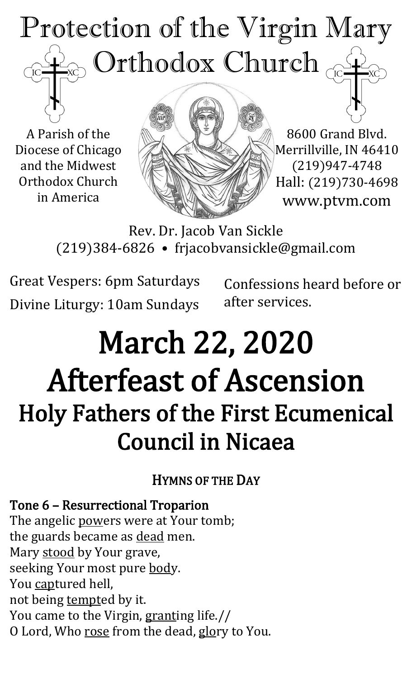### Protection of the Virgin Mary  $_{\odot}$  Orthodox Church  $_{\rm GC}$  $\overline{C}$

A Parish of the Diocese of Chicago and the Midwest Orthodox Church in America



8600 Grand Blvd. Merrillville, IN 46410 (219)947-4748 Hall: (219)730-4698 www.ptvm.com

Rev. Dr. Jacob Van Sickle (219)384-6826 • frjacobvansickle@gmail.com

Great Vespers: 6pm Saturdays Divine Liturgy: 10am Sundays

Confessions heard before or after services.

## March 22, 2020 Afterfeast of Ascension Holy Fathers of the First Ecumenical Council in Nicaea

HYMNS OF THE DAY

Tone 6 – Resurrectional Troparion The angelic powers were at Your tomb; the guards became as dead men. Mary stood by Your grave, seeking Your most pure body. You captured hell, not being tempted by it. You came to the Virgin, granting life.// O Lord, Who rose from the dead, glory to You.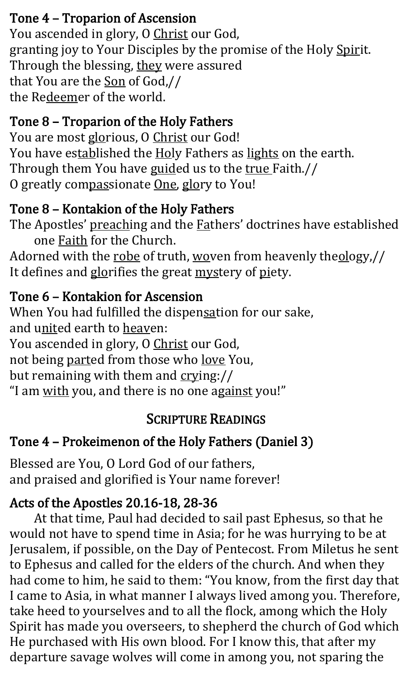#### Tone 4 – Troparion of Ascension

You ascended in glory, O Christ our God, granting joy to Your Disciples by the promise of the Holy Spirit. Through the blessing, they were assured that You are the Son of God,// the Redeemer of the world.

#### Tone 8 – Troparion of the Holy Fathers

You are most glorious, O Christ our God! You have established the Holy Fathers as lights on the earth. Through them You have guided us to the true Faith.// O greatly compassionate One, glory to You!

#### Tone 8 – Kontakion of the Holy Fathers

The Apostles' preaching and the **Fathers' doctrines have established** one Faith for the Church.

Adorned with the robe of truth, woven from heavenly theology,// It defines and glorifies the great mystery of piety.

#### Tone 6 – Kontakion for Ascension

When You had fulfilled the dispensation for our sake, and united earth to heaven: You ascended in glory, O Christ our God, not being parted from those who love You, but remaining with them and crying:// "I am with you, and there is no one against you!"

#### SCRIPTURE READINGS

#### Tone 4 – Prokeimenon of the Holy Fathers (Daniel 3)

Blessed are You, O Lord God of our fathers, and praised and glorified is Your name forever!

#### Acts of the Apostles 20.16-18, 28-36

At that time, Paul had decided to sail past Ephesus, so that he would not have to spend time in Asia; for he was hurrying to be at Jerusalem, if possible, on the Day of Pentecost. From Miletus he sent to Ephesus and called for the elders of the church. And when they had come to him, he said to them: "You know, from the first day that I came to Asia, in what manner I always lived among you. Therefore, take heed to yourselves and to all the flock, among which the Holy Spirit has made you overseers, to shepherd the church of God which He purchased with His own blood. For I know this, that after my departure savage wolves will come in among you, not sparing the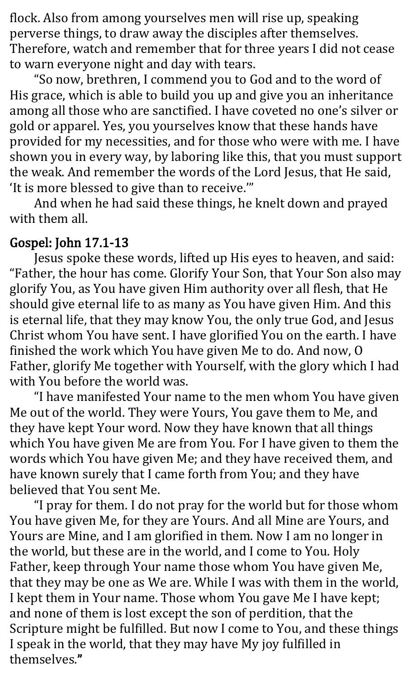flock. Also from among yourselves men will rise up, speaking perverse things, to draw away the disciples after themselves. Therefore, watch and remember that for three years I did not cease to warn everyone night and day with tears.

"So now, brethren, I commend you to God and to the word of His grace, which is able to build you up and give you an inheritance among all those who are sanctified. I have coveted no one's silver or gold or apparel. Yes, you yourselves know that these hands have provided for my necessities, and for those who were with me. I have shown you in every way, by laboring like this, that you must support the weak. And remember the words of the Lord Jesus, that He said, 'It is more blessed to give than to receive.'"

And when he had said these things, he knelt down and prayed with them all.

#### Gospel: John 17.1-13

Jesus spoke these words, lifted up His eyes to heaven, and said: "Father, the hour has come. Glorify Your Son, that Your Son also may glorify You, as You have given Him authority over all flesh, that He should give eternal life to as many as You have given Him. And this is eternal life, that they may know You, the only true God, and Jesus Christ whom You have sent. I have glorified You on the earth. I have finished the work which You have given Me to do. And now, O Father, glorify Me together with Yourself, with the glory which I had with You before the world was.

"I have manifested Your name to the men whom You have given Me out of the world. They were Yours, You gave them to Me, and they have kept Your word. Now they have known that all things which You have given Me are from You. For I have given to them the words which You have given Me; and they have received them, and have known surely that I came forth from You; and they have believed that You sent Me.

"I pray for them. I do not pray for the world but for those whom You have given Me, for they are Yours. And all Mine are Yours, and Yours are Mine, and I am glorified in them. Now I am no longer in the world, but these are in the world, and I come to You. Holy Father, keep through Your name those whom You have given Me, that they may be one as We are. While I was with them in the world, I kept them in Your name. Those whom You gave Me I have kept; and none of them is lost except the son of perdition, that the Scripture might be fulfilled. But now I come to You, and these things I speak in the world, that they may have My joy fulfilled in themselves."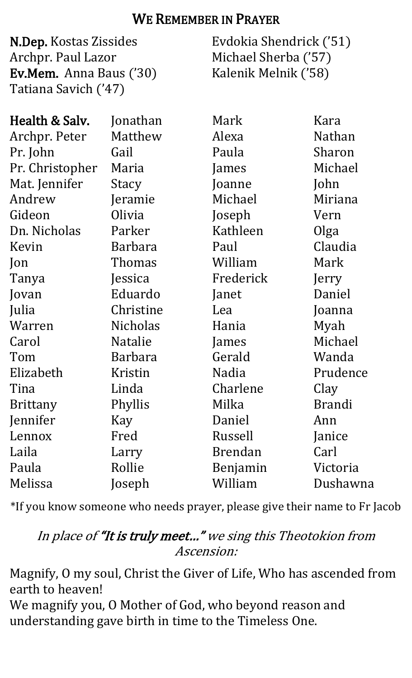#### WE REMEMBER IN PRAYER

N.Dep. Kostas Zissides Archpr. Paul Lazor Ev.Mem. Anna Baus ('30) Tatiana Savich ('47)

Evdokia Shendrick ('51) Michael Sherba ('57) Kalenik Melnik ('58)

| Health & Salv.  | Jonathan        | Mark           | Kara          |
|-----------------|-----------------|----------------|---------------|
| Archpr. Peter   | Matthew         | Alexa          | <b>Nathan</b> |
| Pr. John        | Gail            | Paula          | Sharon        |
| Pr. Christopher | Maria           | James          | Michael       |
| Mat. Jennifer   | Stacy           | Joanne         | John          |
| Andrew          | Jeramie         | Michael        | Miriana       |
| Gideon          | Olivia          | Joseph         | Vern          |
| Dn. Nicholas    | Parker          | Kathleen       | Olga          |
| Kevin           | <b>Barbara</b>  | Paul           | Claudia       |
| Jon             | Thomas          | William        | Mark          |
| Tanya           | Jessica         | Frederick      | Jerry         |
| Jovan           | Eduardo         | Janet          | Daniel        |
| Julia           | Christine       | Lea            | Joanna        |
| Warren          | <b>Nicholas</b> | Hania          | Myah          |
| Carol           | <b>Natalie</b>  | James          | Michael       |
| Tom             | <b>Barbara</b>  | Gerald         | Wanda         |
| Elizabeth       | Kristin         | <b>Nadia</b>   | Prudence      |
| Tina            | Linda           | Charlene       | Clay          |
| <b>Brittany</b> | Phyllis         | Milka          | <b>Brandi</b> |
| Jennifer        | Kay             | Daniel         | Ann           |
| Lennox          | Fred            | Russell        | Janice        |
| Laila           | Larry           | <b>Brendan</b> | Carl          |
| Paula           | Rollie          | Benjamin       | Victoria      |
| Melissa         | Joseph          | William        | Dushawna      |

\*If you know someone who needs prayer, please give their name to Fr Jacob

#### In place of "It is truly meet…" we sing this Theotokion from Ascension:

Magnify, O my soul, Christ the Giver of Life, Who has ascended from earth to heaven!

We magnify you, O Mother of God, who beyond reason and understanding gave birth in time to the Timeless One.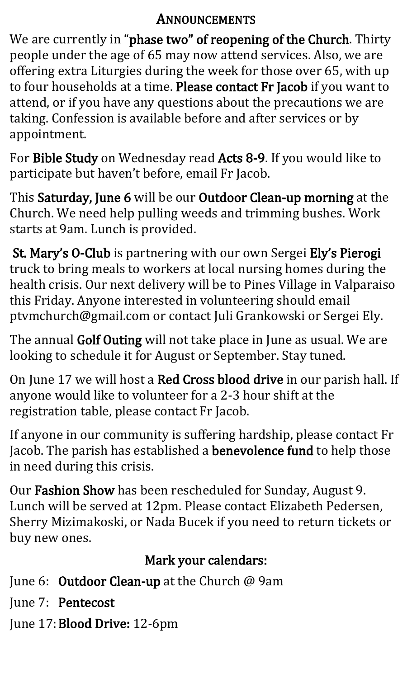#### ANNOUNCEMENTS

We are currently in "phase two" of reopening of the Church. Thirty people under the age of 65 may now attend services. Also, we are offering extra Liturgies during the week for those over 65, with up to four households at a time. Please contact Fr Jacob if you want to attend, or if you have any questions about the precautions we are taking. Confession is available before and after services or by appointment.

For Bible Study on Wednesday read Acts 8-9. If you would like to participate but haven't before, email Fr Jacob.

This Saturday, June 6 will be our Outdoor Clean-up morning at the Church. We need help pulling weeds and trimming bushes. Work starts at 9am. Lunch is provided.

 St. Mary's O-Club is partnering with our own Sergei Ely's Pierogi truck to bring meals to workers at local nursing homes during the health crisis. Our next delivery will be to Pines Village in Valparaiso this Friday. Anyone interested in volunteering should email ptvmchurch@gmail.com or contact Juli Grankowski or Sergei Ely.

The annual Golf Outing will not take place in June as usual. We are looking to schedule it for August or September. Stay tuned.

On June 17 we will host a Red Cross blood drive in our parish hall. If anyone would like to volunteer for a 2-3 hour shift at the registration table, please contact Fr Jacob.

If anyone in our community is suffering hardship, please contact Fr Jacob. The parish has established a **benevolence fund** to help those in need during this crisis.

Our Fashion Show has been rescheduled for Sunday, August 9. Lunch will be served at 12pm. Please contact Elizabeth Pedersen, Sherry Mizimakoski, or Nada Bucek if you need to return tickets or buy new ones.

#### Mark your calendars:

June 6: Outdoor Clean-up at the Church @ 9am

June 7: Pentecost

June 17:Blood Drive: 12-6pm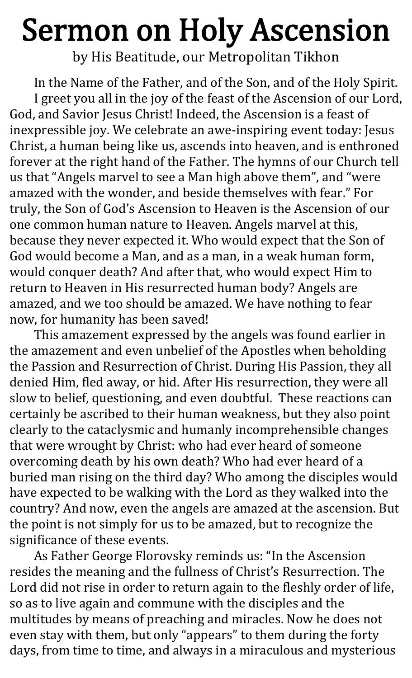## Sermon on Holy Ascension

by His Beatitude, our Metropolitan Tikhon

In the Name of the Father, and of the Son, and of the Holy Spirit. I greet you all in the joy of the feast of the Ascension of our Lord, God, and Savior Jesus Christ! Indeed, the Ascension is a feast of inexpressible joy. We celebrate an awe-inspiring event today: Jesus Christ, a human being like us, ascends into heaven, and is enthroned forever at the right hand of the Father. The hymns of our Church tell us that "Angels marvel to see a Man high above them", and "were amazed with the wonder, and beside themselves with fear." For truly, the Son of God's Ascension to Heaven is the Ascension of our one common human nature to Heaven. Angels marvel at this, because they never expected it. Who would expect that the Son of God would become a Man, and as a man, in a weak human form, would conquer death? And after that, who would expect Him to return to Heaven in His resurrected human body? Angels are amazed, and we too should be amazed. We have nothing to fear now, for humanity has been saved!

This amazement expressed by the angels was found earlier in the amazement and even unbelief of the Apostles when beholding the Passion and Resurrection of Christ. During His Passion, they all denied Him, fled away, or hid. After His resurrection, they were all slow to belief, questioning, and even doubtful. These reactions can certainly be ascribed to their human weakness, but they also point clearly to the cataclysmic and humanly incomprehensible changes that were wrought by Christ: who had ever heard of someone overcoming death by his own death? Who had ever heard of a buried man rising on the third day? Who among the disciples would have expected to be walking with the Lord as they walked into the country? And now, even the angels are amazed at the ascension. But the point is not simply for us to be amazed, but to recognize the significance of these events.

As Father George Florovsky reminds us: "In the Ascension resides the meaning and the fullness of Christ's Resurrection. The Lord did not rise in order to return again to the fleshly order of life, so as to live again and commune with the disciples and the multitudes by means of preaching and miracles. Now he does not even stay with them, but only "appears" to them during the forty days, from time to time, and always in a miraculous and mysterious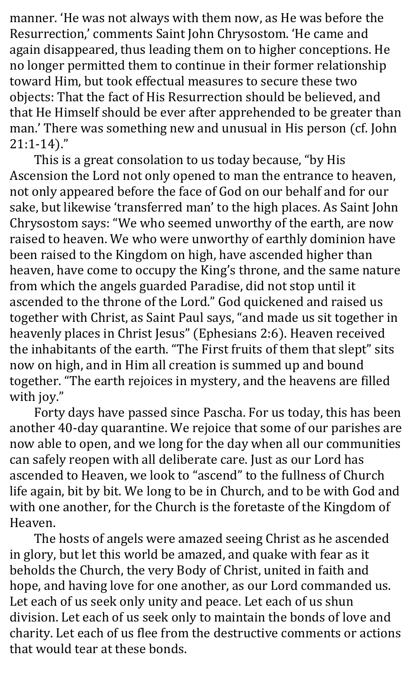manner. 'He was not always with them now, as He was before the Resurrection,' comments Saint John Chrysostom. 'He came and again disappeared, thus leading them on to higher conceptions. He no longer permitted them to continue in their former relationship toward Him, but took effectual measures to secure these two objects: That the fact of His Resurrection should be believed, and that He Himself should be ever after apprehended to be greater than man.' There was something new and unusual in His person (cf. John 21:1-14)."

This is a great consolation to us today because, "by His Ascension the Lord not only opened to man the entrance to heaven, not only appeared before the face of God on our behalf and for our sake, but likewise 'transferred man' to the high places. As Saint John Chrysostom says: "We who seemed unworthy of the earth, are now raised to heaven. We who were unworthy of earthly dominion have been raised to the Kingdom on high, have ascended higher than heaven, have come to occupy the King's throne, and the same nature from which the angels guarded Paradise, did not stop until it ascended to the throne of the Lord." God quickened and raised us together with Christ, as Saint Paul says, "and made us sit together in heavenly places in Christ Jesus" (Ephesians 2:6). Heaven received the inhabitants of the earth. "The First fruits of them that slept" sits now on high, and in Him all creation is summed up and bound together. "The earth rejoices in mystery, and the heavens are filled with joy."

Forty days have passed since Pascha. For us today, this has been another 40-day quarantine. We rejoice that some of our parishes are now able to open, and we long for the day when all our communities can safely reopen with all deliberate care. Just as our Lord has ascended to Heaven, we look to "ascend" to the fullness of Church life again, bit by bit. We long to be in Church, and to be with God and with one another, for the Church is the foretaste of the Kingdom of Heaven.

The hosts of angels were amazed seeing Christ as he ascended in glory, but let this world be amazed, and quake with fear as it beholds the Church, the very Body of Christ, united in faith and hope, and having love for one another, as our Lord commanded us. Let each of us seek only unity and peace. Let each of us shun division. Let each of us seek only to maintain the bonds of love and charity. Let each of us flee from the destructive comments or actions that would tear at these bonds.